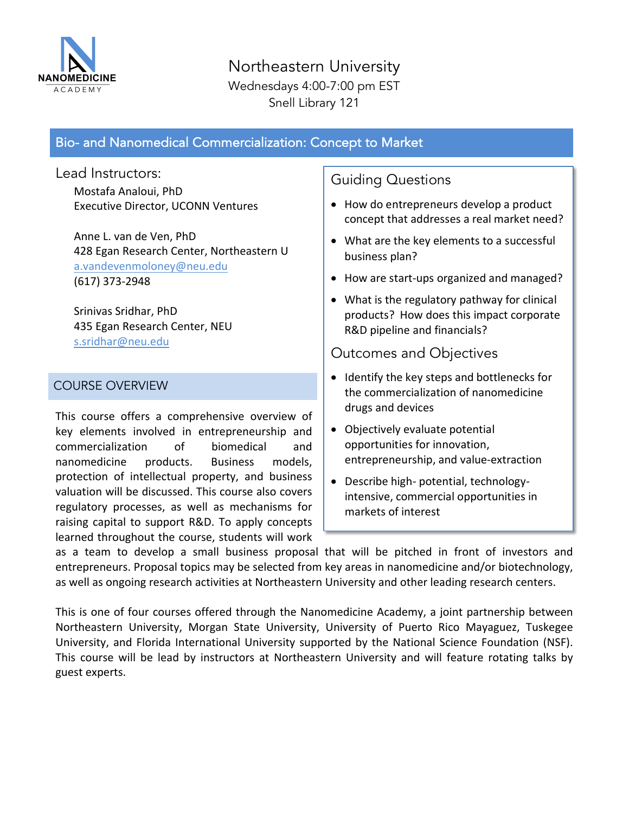

Northeastern University Wednesdays 4:00-7:00 pm EST Snell Library 121

# Bio- and Nanomedical Commercialization: Concept to Market

Lead Instructors:

Mostafa Analoui, PhD **Executive Director, UCONN Ventures** 

Anne L. van de Ven, PhD 428 Egan Research Center, Northeastern U a.vandevenmoloney@neu.edu (617) 373-2948

Srinivas Sridhar, PhD 435 Egan Research Center, NEU s.sridhar@neu.edu

### COURSE OVERVIEW

This course offers a comprehensive overview of key elements involved in entrepreneurship and commercialization of biomedical and nanomedicine products. Business models, protection of intellectual property, and business valuation will be discussed. This course also covers regulatory processes, as well as mechanisms for raising capital to support R&D. To apply concepts learned throughout the course, students will work Guiding Questions

- How do entrepreneurs develop a product concept that addresses a real market need?
- What are the key elements to a successful business plan?
- How are start-ups organized and managed?
- $\bullet$  What is the regulatory pathway for clinical products? How does this impact corporate R&D pipeline and financials?

Outcomes and Objectives

- Identify the key steps and bottlenecks for the commercialization of nanomedicine drugs and devices
- Objectively evaluate potential opportunities for innovation, entrepreneurship, and value-extraction
- Describe high- potential, technologyintensive, commercial opportunities in markets of interest

as a team to develop a small business proposal that will be pitched in front of investors and entrepreneurs. Proposal topics may be selected from key areas in nanomedicine and/or biotechnology, as well as ongoing research activities at Northeastern University and other leading research centers.

This is one of four courses offered through the Nanomedicine Academy, a joint partnership between Northeastern University, Morgan State University, University of Puerto Rico Mayaguez, Tuskegee University, and Florida International University supported by the National Science Foundation (NSF). This course will be lead by instructors at Northeastern University and will feature rotating talks by guest experts.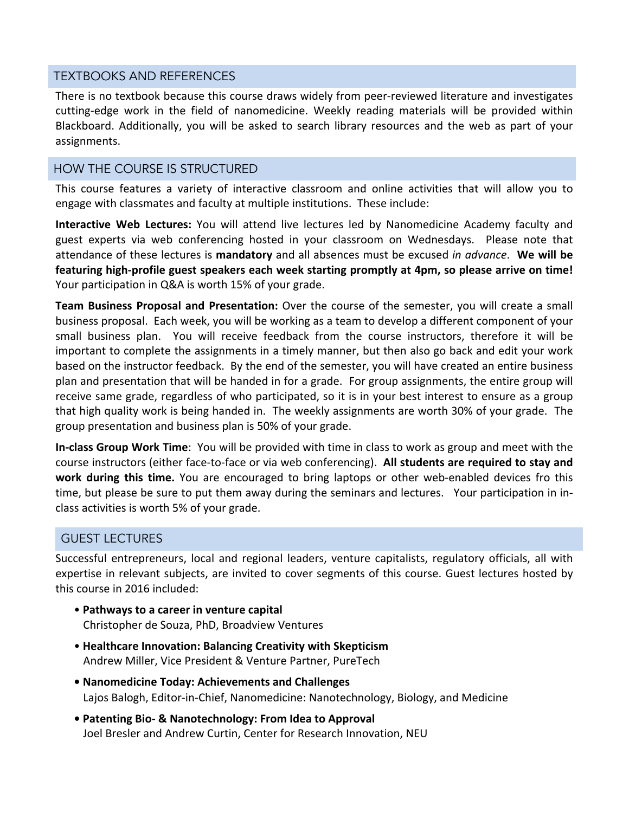#### TEXTBOOKS AND REFERENCES

There is no textbook because this course draws widely from peer-reviewed literature and investigates cutting-edge work in the field of nanomedicine. Weekly reading materials will be provided within Blackboard. Additionally, you will be asked to search library resources and the web as part of your assignments.

### HOW THE COURSE IS STRUCTURED

This course features a variety of interactive classroom and online activities that will allow you to engage with classmates and faculty at multiple institutions. These include:

**Interactive Web Lectures:** You will attend live lectures led by Nanomedicine Academy faculty and guest experts via web conferencing hosted in your classroom on Wednesdays. Please note that attendance of these lectures is **mandatory** and all absences must be excused *in advance*. We will be featuring high-profile guest speakers each week starting promptly at 4pm, so please arrive on time! Your participation in Q&A is worth 15% of your grade.

**Team Business Proposal and Presentation:** Over the course of the semester, you will create a small business proposal. Each week, you will be working as a team to develop a different component of your small business plan. You will receive feedback from the course instructors, therefore it will be important to complete the assignments in a timely manner, but then also go back and edit your work based on the instructor feedback. By the end of the semester, you will have created an entire business plan and presentation that will be handed in for a grade. For group assignments, the entire group will receive same grade, regardless of who participated, so it is in your best interest to ensure as a group that high quality work is being handed in. The weekly assignments are worth 30% of your grade. The group presentation and business plan is 50% of your grade.

**In-class Group Work Time**: You will be provided with time in class to work as group and meet with the course instructors (either face-to-face or via web conferencing). All students are required to stay and **work during this time.** You are encouraged to bring laptops or other web-enabled devices fro this time, but please be sure to put them away during the seminars and lectures. Your participation in inclass activities is worth 5% of your grade.

### GUEST LECTURES

Successful entrepreneurs, local and regional leaders, venture capitalists, regulatory officials, all with expertise in relevant subjects, are invited to cover segments of this course. Guest lectures hosted by this course in 2016 included:

- • **Pathways to a career in venture capital** Christopher de Souza, PhD, Broadview Ventures
- • **Healthcare Innovation: Balancing Creativity with Skepticism** Andrew Miller, Vice President & Venture Partner, PureTech
- **• Nanomedicine Today: Achievements and Challenges** Lajos Balogh, Editor-in-Chief, Nanomedicine: Nanotechnology, Biology, and Medicine
- **Patenting Bio- & Nanotechnology: From Idea to Approval** Joel Bresler and Andrew Curtin, Center for Research Innovation, NEU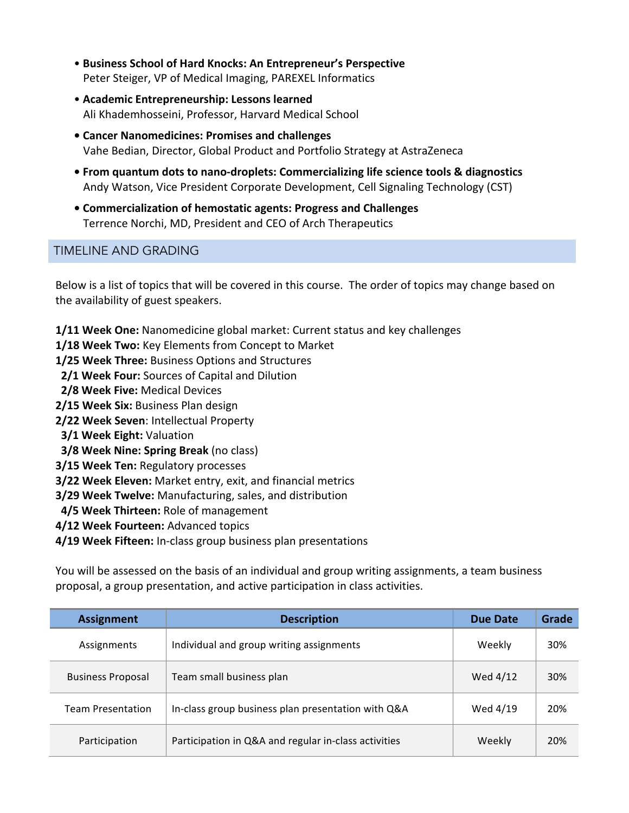- • **Business School of Hard Knocks: An Entrepreneur's Perspective** Peter Steiger, VP of Medical Imaging, PAREXEL Informatics
- • **Academic Entrepreneurship: Lessons learned** Ali Khademhosseini, Professor, Harvard Medical School
- **• Cancer Nanomedicines: Promises and challenges** Vahe Bedian, Director, Global Product and Portfolio Strategy at AstraZeneca
- **From quantum dots to nano-droplets: Commercializing life science tools & diagnostics** Andy Watson, Vice President Corporate Development, Cell Signaling Technology (CST)
- **• Commercialization of hemostatic agents: Progress and Challenges** Terrence Norchi, MD, President and CEO of Arch Therapeutics

## TIMELINE AND GRADING

Below is a list of topics that will be covered in this course. The order of topics may change based on the availability of guest speakers.

- **1/11 Week One:** Nanomedicine global market: Current status and key challenges
- **1/18 Week Two:** Key Elements from Concept to Market
- **1/25 Week Three:** Business Options and Structures
- **2/1 Week Four:** Sources of Capital and Dilution
- **2/8 Week Five: Medical Devices**
- **2/15** Week Six: Business Plan design
- **2/22 Week Seven**: Intellectual Property
- **3/1 Week Eight: Valuation**
- **3/8** Week Nine: Spring Break (no class)
- **3/15 Week Ten: Regulatory processes**
- **3/22 Week Eleven:** Market entry, exit, and financial metrics
- **3/29 Week Twelve:** Manufacturing, sales, and distribution
- **4/5 Week Thirteen:** Role of management
- **4/12 Week Fourteen:** Advanced topics
- **4/19 Week Fifteen:** In-class group business plan presentations

You will be assessed on the basis of an individual and group writing assignments, a team business proposal, a group presentation, and active participation in class activities.

| <b>Assignment</b>        | <b>Description</b>                                   | Due Date | Grade |
|--------------------------|------------------------------------------------------|----------|-------|
| Assignments              | Individual and group writing assignments             | Weekly   | 30%   |
| <b>Business Proposal</b> | Team small business plan                             | Wed 4/12 | 30%   |
| <b>Team Presentation</b> | In-class group business plan presentation with Q&A   | Wed 4/19 | 20%   |
| Participation            | Participation in Q&A and regular in-class activities | Weekly   | 20%   |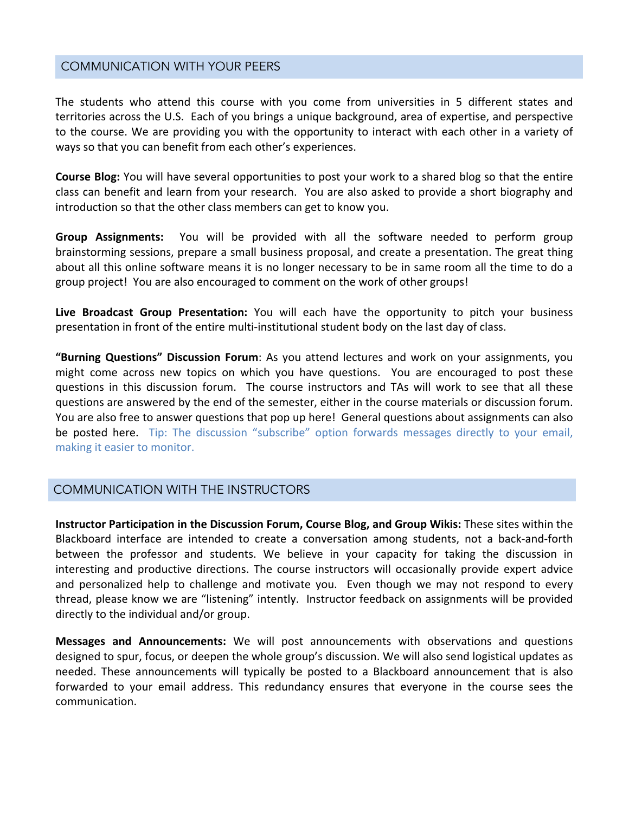#### COMMUNICATION WITH YOUR PEERS

The students who attend this course with you come from universities in 5 different states and territories across the U.S. Each of you brings a unique background, area of expertise, and perspective to the course. We are providing you with the opportunity to interact with each other in a variety of ways so that you can benefit from each other's experiences.

**Course Blog:** You will have several opportunities to post your work to a shared blog so that the entire class can benefit and learn from your research. You are also asked to provide a short biography and introduction so that the other class members can get to know you.

**Group Assignments:** You will be provided with all the software needed to perform group brainstorming sessions, prepare a small business proposal, and create a presentation. The great thing about all this online software means it is no longer necessary to be in same room all the time to do a group project! You are also encouraged to comment on the work of other groups!

**Live Broadcast Group Presentation:** You will each have the opportunity to pitch your business presentation in front of the entire multi-institutional student body on the last day of class.

**"Burning Questions" Discussion Forum**: As you attend lectures and work on your assignments, you might come across new topics on which you have questions. You are encouraged to post these questions in this discussion forum. The course instructors and TAs will work to see that all these questions are answered by the end of the semester, either in the course materials or discussion forum. You are also free to answer questions that pop up here! General questions about assignments can also be posted here. Tip: The discussion "subscribe" option forwards messages directly to your email, making it easier to monitor.

### COMMUNICATION WITH THE INSTRUCTORS

**Instructor Participation in the Discussion Forum, Course Blog, and Group Wikis: These sites within the** Blackboard interface are intended to create a conversation among students, not a back-and-forth between the professor and students. We believe in your capacity for taking the discussion in interesting and productive directions. The course instructors will occasionally provide expert advice and personalized help to challenge and motivate you. Even though we may not respond to every thread, please know we are "listening" intently. Instructor feedback on assignments will be provided directly to the individual and/or group.

**Messages and Announcements:** We will post announcements with observations and questions designed to spur, focus, or deepen the whole group's discussion. We will also send logistical updates as needed. These announcements will typically be posted to a Blackboard announcement that is also forwarded to your email address. This redundancy ensures that everyone in the course sees the communication.